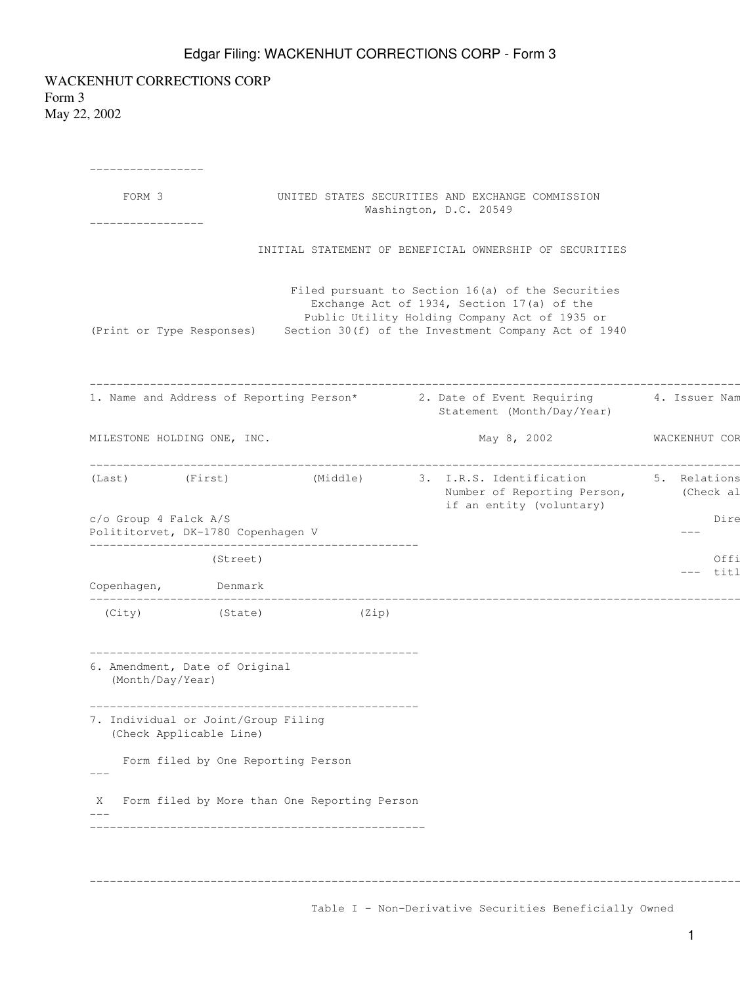## Edgar Filing: WACKENHUT CORRECTIONS CORP - Form 3

WACKENHUT CORRECTIONS CORP Form 3 May 22, 2002

| FORM 3                                                         |                                        |                                              | UNITED STATES SECURITIES AND EXCHANGE COMMISSION<br>Washington, D.C. 20549                                                                                                                              |  |                    |  |
|----------------------------------------------------------------|----------------------------------------|----------------------------------------------|---------------------------------------------------------------------------------------------------------------------------------------------------------------------------------------------------------|--|--------------------|--|
|                                                                |                                        |                                              | INITIAL STATEMENT OF BENEFICIAL OWNERSHIP OF SECURITIES                                                                                                                                                 |  |                    |  |
| (Print or Type Responses)                                      |                                        |                                              | Filed pursuant to Section 16(a) of the Securities<br>Exchange Act of 1934, Section 17(a) of the<br>Public Utility Holding Company Act of 1935 or<br>Section 30(f) of the Investment Company Act of 1940 |  |                    |  |
|                                                                |                                        |                                              | 1. Name and Address of Reporting Person* 2. Date of Event Requiring 4. Issuer Nam<br>Statement (Month/Day/Year)                                                                                         |  |                    |  |
| MILESTONE HOLDING ONE, INC.                                    |                                        |                                              | May 8, 2002 WACKENHUT COR                                                                                                                                                                               |  |                    |  |
|                                                                | ______________________________________ |                                              | (Last) (First) (Middle) 3. I.R.S. Identification 5. Relations<br>Number of Reporting Person,<br>if an entity (voluntary)                                                                                |  | (Check al          |  |
| c/o Group 4 Falck A/S<br>Polititorvet, DK-1780 Copenhagen V    |                                        |                                              |                                                                                                                                                                                                         |  | Dire               |  |
|                                                                | (Street)                               |                                              |                                                                                                                                                                                                         |  | Offi<br>$---$ titl |  |
| Copenhagen, Denmark                                            |                                        |                                              |                                                                                                                                                                                                         |  |                    |  |
|                                                                |                                        | (City) (State) (Zip)                         |                                                                                                                                                                                                         |  |                    |  |
| 6. Amendment, Date of Original<br>(Month/Day/Year)             |                                        |                                              |                                                                                                                                                                                                         |  |                    |  |
| 7. Individual or Joint/Group Filing<br>(Check Applicable Line) |                                        |                                              |                                                                                                                                                                                                         |  |                    |  |
| $---$                                                          | Form filed by One Reporting Person     |                                              |                                                                                                                                                                                                         |  |                    |  |
| X                                                              |                                        | Form filed by More than One Reporting Person |                                                                                                                                                                                                         |  |                    |  |
|                                                                |                                        |                                              |                                                                                                                                                                                                         |  |                    |  |
|                                                                |                                        |                                              |                                                                                                                                                                                                         |  |                    |  |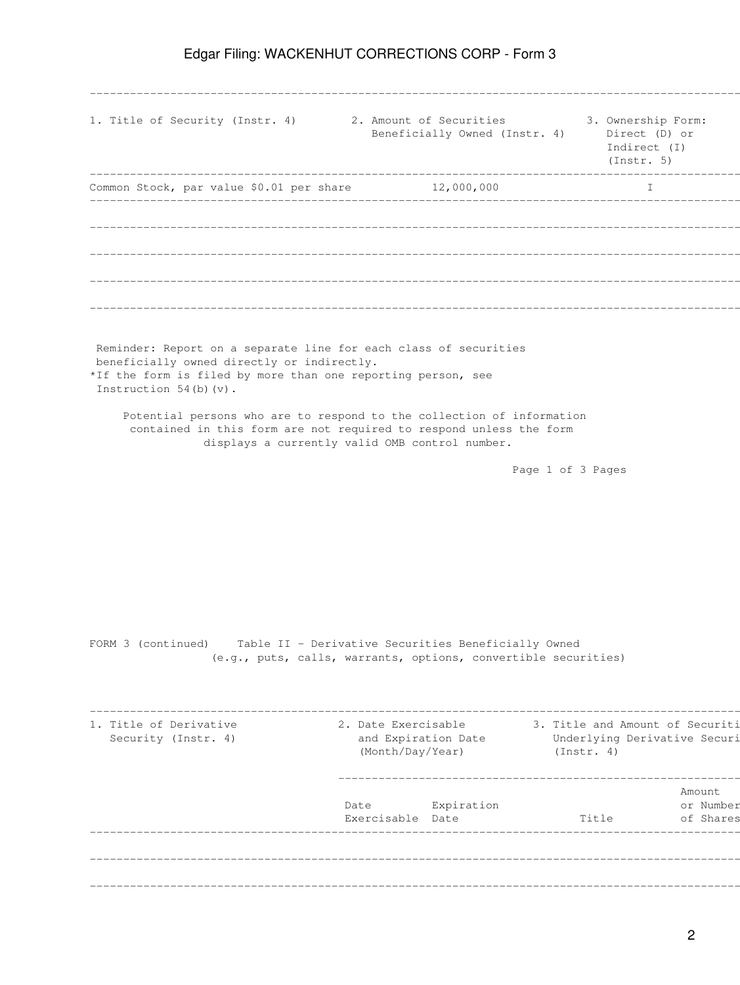## Edgar Filing: WACKENHUT CORRECTIONS CORP - Form 3

-------------------------------------------------------------------------------------------------------------------------------

| 1. Title of Security (Instr. 4) 2. Amount of Securities                                                                                     |                                         | Beneficially Owned (Instr. 4) |                                             |       | 3. Ownership Form:<br>Direct (D) or<br>Indirect (I)<br>(Insert. 5) |  |
|---------------------------------------------------------------------------------------------------------------------------------------------|-----------------------------------------|-------------------------------|---------------------------------------------|-------|--------------------------------------------------------------------|--|
| Common Stock, par value \$0.01 per share 12,000,000                                                                                         |                                         |                               |                                             |       | $\mathbb{I}$                                                       |  |
|                                                                                                                                             |                                         |                               |                                             |       |                                                                    |  |
|                                                                                                                                             |                                         |                               |                                             |       |                                                                    |  |
|                                                                                                                                             |                                         |                               |                                             |       |                                                                    |  |
|                                                                                                                                             |                                         |                               |                                             |       |                                                                    |  |
| Reminder: Report on a separate line for each class of securities<br>beneficially owned directly or indirectly.                              |                                         |                               |                                             |       |                                                                    |  |
| *If the form is filed by more than one reporting person, see<br>Instruction $54(b)$ (v).                                                    |                                         |                               |                                             |       |                                                                    |  |
| Potential persons who are to respond to the collection of information<br>contained in this form are not required to respond unless the form |                                         |                               |                                             |       |                                                                    |  |
| displays a currently valid OMB control number.                                                                                              |                                         |                               |                                             |       |                                                                    |  |
|                                                                                                                                             |                                         |                               | Page 1 of 3 Pages                           |       |                                                                    |  |
|                                                                                                                                             |                                         |                               |                                             |       |                                                                    |  |
|                                                                                                                                             |                                         |                               |                                             |       |                                                                    |  |
|                                                                                                                                             |                                         |                               |                                             |       |                                                                    |  |
|                                                                                                                                             |                                         |                               |                                             |       |                                                                    |  |
| FORM 3 (continued) Table II - Derivative Securities Beneficially Owned<br>(e.g., puts, calls, warrants, options, convertible securities)    |                                         |                               |                                             |       |                                                                    |  |
|                                                                                                                                             |                                         |                               |                                             |       |                                                                    |  |
| 1. Title of Derivative                                                                                                                      | 2. Date Exercisable                     |                               |                                             |       | 3. Title and Amount of Securiti                                    |  |
| Security (Instr. 4)                                                                                                                         | and Expiration Date<br>(Month/Day/Year) |                               | Underlying Derivative Securi<br>(Insert. 4) |       |                                                                    |  |
|                                                                                                                                             |                                         |                               |                                             |       | Amount                                                             |  |
|                                                                                                                                             | Date<br>Exercisable Date                | Expiration                    |                                             | Title | or Number<br>of Shares                                             |  |
|                                                                                                                                             |                                         |                               |                                             |       |                                                                    |  |
|                                                                                                                                             |                                         |                               |                                             |       |                                                                    |  |
|                                                                                                                                             |                                         |                               |                                             |       |                                                                    |  |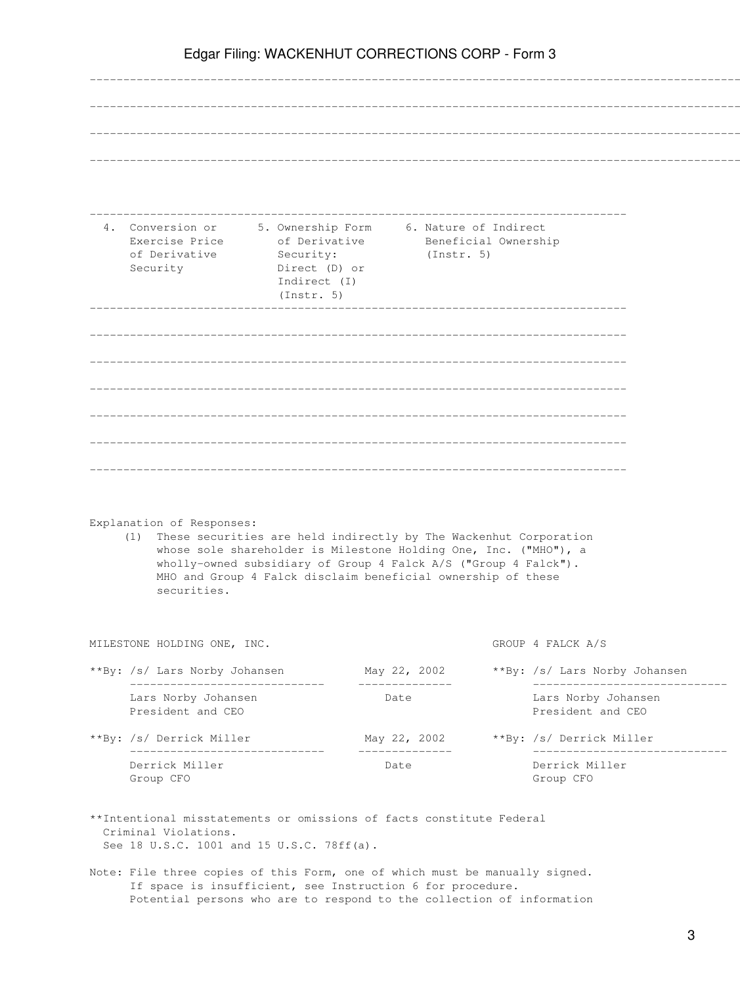|                                                                |                                                                                                                   | Edgar Filing: WACKENHUT CORRECTIONS CORP - Form 3                                                                                                                                                   |                         |                                               |                                                                         |
|----------------------------------------------------------------|-------------------------------------------------------------------------------------------------------------------|-----------------------------------------------------------------------------------------------------------------------------------------------------------------------------------------------------|-------------------------|-----------------------------------------------|-------------------------------------------------------------------------|
|                                                                |                                                                                                                   |                                                                                                                                                                                                     |                         |                                               |                                                                         |
|                                                                | 4. Conversion or<br>Exercise Price<br>of Derivative<br>Security                                                   | 5. Ownership Form<br>of Derivative<br>Security:<br>Direct (D) or<br>Indirect (I)<br>(Instr. 5)                                                                                                      | (Instr. 5)              | 6. Nature of Indirect<br>Beneficial Ownership |                                                                         |
|                                                                |                                                                                                                   |                                                                                                                                                                                                     |                         |                                               |                                                                         |
|                                                                |                                                                                                                   |                                                                                                                                                                                                     |                         |                                               |                                                                         |
|                                                                | Explanation of Responses:<br>(1) These securities are held indirectly by The Wackenhut Corporation<br>securities. | whose sole shareholder is Milestone Holding One, Inc. ("MHO"), a<br>wholly-owned subsidiary of Group 4 Falck A/S ("Group 4 Falck").<br>MHO and Group 4 Falck disclaim beneficial ownership of these |                         |                                               |                                                                         |
|                                                                | MILESTONE HOLDING ONE, INC.                                                                                       |                                                                                                                                                                                                     |                         |                                               | GROUP 4 FALCK A/S                                                       |
| **By: /s/ Lars Norby Johansen                                  |                                                                                                                   |                                                                                                                                                                                                     | May 22, 2002            |                                               | **By: /s/ Lars Norby Johansen                                           |
|                                                                | Lars Norby Johansen<br>President and CEO                                                                          | -------------------------                                                                                                                                                                           | _______________<br>Date |                                               | ---------------------------<br>Lars Norby Johansen<br>President and CEO |
|                                                                | **By: /s/ Derrick Miller                                                                                          |                                                                                                                                                                                                     | May 22, 2002            |                                               | **By: /s/ Derrick Miller                                                |
| _______________________________<br>Derrick Miller<br>Group CFO |                                                                                                                   |                                                                                                                                                                                                     | ______________<br>Date  |                                               | ______________________________<br>Derrick Miller<br>Group CFO           |

\*\*Intentional misstatements or omissions of facts constitute Federal Criminal Violations. See 18 U.S.C. 1001 and 15 U.S.C. 78ff(a).

Note: File three copies of this Form, one of which must be manually signed. If space is insufficient, see Instruction 6 for procedure. Potential persons who are to respond to the collection of information